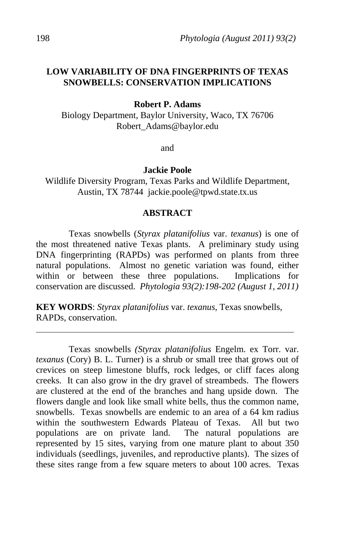# **LOW VARIABILITY OF DNA FINGERPRINTS OF TEXAS SNOWBELLS: CONSERVATION IMPLICATIONS**

**Robert P. Adams** 

Biology Department, Baylor University, Waco, TX 76706 Robert\_Adams@baylor.edu

and

**Jackie Poole** 

Wildlife Diversity Program, Texas Parks and Wildlife Department, Austin, TX 78744 jackie.poole@tpwd.state.tx.us

#### **ABSTRACT**

 Texas snowbells (*Styrax platanifolius* var. *texanus*) is one of the most threatened native Texas plants. A preliminary study using DNA fingerprinting (RAPDs) was performed on plants from three natural populations. Almost no genetic variation was found, either within or between these three populations. Implications for conservation are discussed. *Phytologia 93(2):198-202 (August 1, 2011)*

**KEY WORDS**: *Styrax platanifolius* var. *texanus*, Texas snowbells, RAPDs, conservation.

 Texas snowbells *(Styrax platanifolius* Engelm. ex Torr. var. *texanus* (Cory) B. L. Turner) is a shrub or small tree that grows out of crevices on steep limestone bluffs, rock ledges, or cliff faces along creeks. It can also grow in the dry gravel of streambeds. The flowers are clustered at the end of the branches and hang upside down. The flowers dangle and look like small white bells, thus the common name, snowbells. Texas snowbells are endemic to an area of a 64 km radius within the southwestern Edwards Plateau of Texas. All but two populations are on private land. The natural populations are represented by 15 sites, varying from one mature plant to about 350 individuals (seedlings, juveniles, and reproductive plants). The sizes of these sites range from a few square meters to about 100 acres. Texas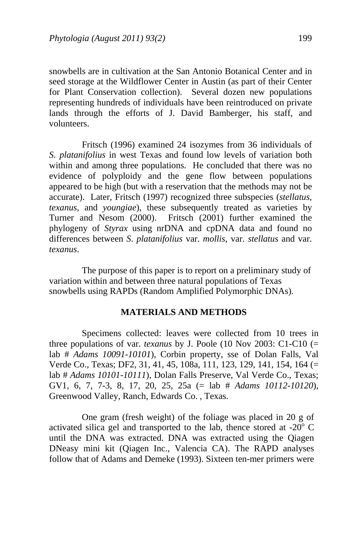snowbells are in cultivation at the San Antonio Botanical Center and in seed storage at the Wildflower Center in Austin (as part of their Center for Plant Conservation collection). Several dozen new populations representing hundreds of individuals have been reintroduced on private lands through the efforts of J. David Bamberger, his staff, and volunteers.

 Fritsch (1996) examined 24 isozymes from 36 individuals of *S. platanifolius* in west Texas and found low levels of variation both within and among three populations. He concluded that there was no evidence of polyploidy and the gene flow between populations appeared to be high (but with a reservation that the methods may not be accurate). Later, Fritsch (1997) recognized three subspecies (*stellatus*, *texanus*, and *youngiae*), these subsequently treated as varieties by Turner and Nesom (2000). Fritsch (2001) further examined the phylogeny of *Styrax* using nrDNA and cpDNA data and found no differences between *S*. *platanifolius* var. *mollis*, var. *stellatus* and var. *texanus*.

 The purpose of this paper is to report on a preliminary study of variation within and between three natural populations of Texas snowbells using RAPDs (Random Amplified Polymorphic DNAs).

### **MATERIALS AND METHODS**

 Specimens collected: leaves were collected from 10 trees in three populations of var. *texanus* by J. Poole (10 Nov 2003: C1-C10 (= lab # *Adams 10091-10101*), Corbin property, sse of Dolan Falls, Val Verde Co., Texas; DF2, 31, 41, 45, 108a, 111, 123, 129, 141, 154, 164 (= lab # *Adams 10101-10111*), Dolan Falls Preserve, Val Verde Co., Texas; GV1, 6, 7, 7-3, 8, 17, 20, 25, 25a (= lab # *Adams 10112-10120*), Greenwood Valley, Ranch, Edwards Co. , Texas.

 One gram (fresh weight) of the foliage was placed in 20 g of activated silica gel and transported to the lab, thence stored at -20 $\degree$  C until the DNA was extracted. DNA was extracted using the Qiagen DNeasy mini kit (Qiagen Inc., Valencia CA). The RAPD analyses follow that of Adams and Demeke (1993). Sixteen ten-mer primers were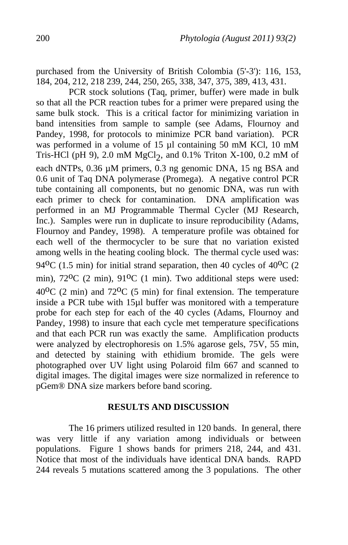purchased from the University of British Colombia (5'-3'): 116, 153, 184, 204, 212, 218 239, 244, 250, 265, 338, 347, 375, 389, 413, 431.

 PCR stock solutions (Taq, primer, buffer) were made in bulk so that all the PCR reaction tubes for a primer were prepared using the same bulk stock. This is a critical factor for minimizing variation in band intensities from sample to sample (see Adams, Flournoy and Pandey, 1998, for protocols to minimize PCR band variation). PCR was performed in a volume of 15 µl containing 50 mM KCl, 10 mM Tris-HCl (pH 9), 2.0 mM  $MgCl<sub>2</sub>$ , and 0.1% Triton X-100, 0.2 mM of each dNTPs, 0.36 µM primers, 0.3 ng genomic DNA, 15 ng BSA and 0.6 unit of Taq DNA polymerase (Promega). A negative control PCR tube containing all components, but no genomic DNA, was run with each primer to check for contamination. DNA amplification was performed in an MJ Programmable Thermal Cycler (MJ Research, Inc.). Samples were run in duplicate to insure reproducibility (Adams, Flournoy and Pandey, 1998). A temperature profile was obtained for each well of the thermocycler to be sure that no variation existed among wells in the heating cooling block. The thermal cycle used was: 94 $^{\circ}$ C (1.5 min) for initial strand separation, then 40 cycles of 40 $^{\circ}$ C (2 min),  $72^{\circ}$ C (2 min),  $91^{\circ}$ C (1 min). Two additional steps were used:  $40^{\circ}$ C (2 min) and  $72^{\circ}$ C (5 min) for final extension. The temperature inside a PCR tube with 15µl buffer was monitored with a temperature probe for each step for each of the 40 cycles (Adams, Flournoy and Pandey, 1998) to insure that each cycle met temperature specifications and that each PCR run was exactly the same. Amplification products were analyzed by electrophoresis on 1.5% agarose gels, 75V, 55 min, and detected by staining with ethidium bromide. The gels were photographed over UV light using Polaroid film 667 and scanned to digital images. The digital images were size normalized in reference to pGem® DNA size markers before band scoring.

## **RESULTS AND DISCUSSION**

 The 16 primers utilized resulted in 120 bands. In general, there was very little if any variation among individuals or between populations. Figure 1 shows bands for primers 218, 244, and 431. Notice that most of the individuals have identical DNA bands. RAPD 244 reveals 5 mutations scattered among the 3 populations. The other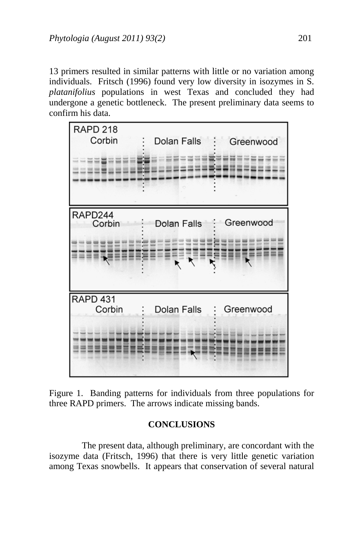13 primers resulted in similar patterns with little or no variation among individuals. Fritsch (1996) found very low diversity in isozymes in S. *platanifolius* populations in west Texas and concluded they had undergone a genetic bottleneck. The present preliminary data seems to confirm his data.



Figure 1. Banding patterns for individuals from three populations for three RAPD primers. The arrows indicate missing bands.

# **CONCLUSIONS**

 The present data, although preliminary, are concordant with the isozyme data (Fritsch, 1996) that there is very little genetic variation among Texas snowbells. It appears that conservation of several natural